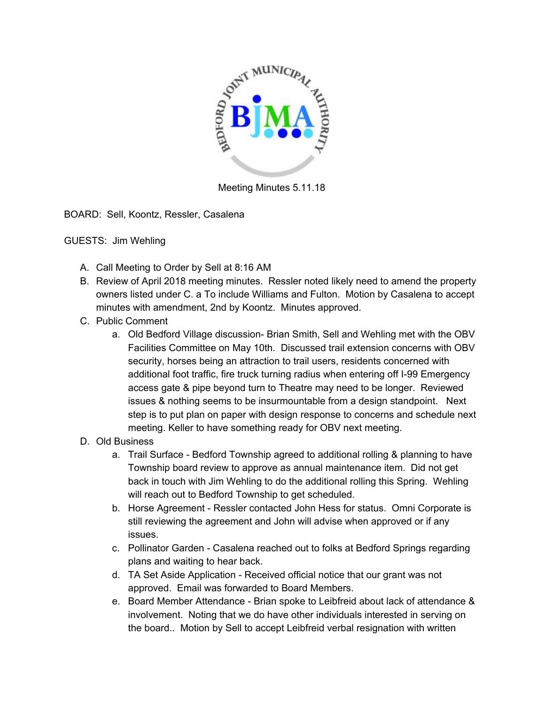

Meeting Minutes 5.11.18

BOARD: Sell, Koontz, Ressler, Casalena

GUESTS: Jim Wehling

- A. Call Meeting to Order by Sell at 8:16 AM
- B. Review of April 2018 meeting minutes. Ressler noted likely need to amend the property owners listed under C. a To include Williams and Fulton. Motion by Casalena to accept minutes with amendment, 2nd by Koontz. Minutes approved.
- C. Public Comment
	- a. Old Bedford Village discussion- Brian Smith, Sell and Wehling met with the OBV Facilities Committee on May 10th. Discussed trail extension concerns with OBV security, horses being an attraction to trail users, residents concerned with additional foot traffic, fire truck turning radius when entering off I-99 Emergency access gate & pipe beyond turn to Theatre may need to be longer. Reviewed issues & nothing seems to be insurmountable from a design standpoint. Next step is to put plan on paper with design response to concerns and schedule next meeting. Keller to have something ready for OBV next meeting.

## D. Old Business

- a. Trail Surface Bedford Township agreed to additional rolling & planning to have Township board review to approve as annual maintenance item. Did not get back in touch with Jim Wehling to do the additional rolling this Spring. Wehling will reach out to Bedford Township to get scheduled.
- b. Horse Agreement Ressler contacted John Hess for status. Omni Corporate is still reviewing the agreement and John will advise when approved or if any issues.
- c. Pollinator Garden Casalena reached out to folks at Bedford Springs regarding plans and waiting to hear back.
- d. TA Set Aside Application Received official notice that our grant was not approved. Email was forwarded to Board Members.
- e. Board Member Attendance Brian spoke to Leibfreid about lack of attendance & involvement. Noting that we do have other individuals interested in serving on the board.. Motion by Sell to accept Leibfreid verbal resignation with written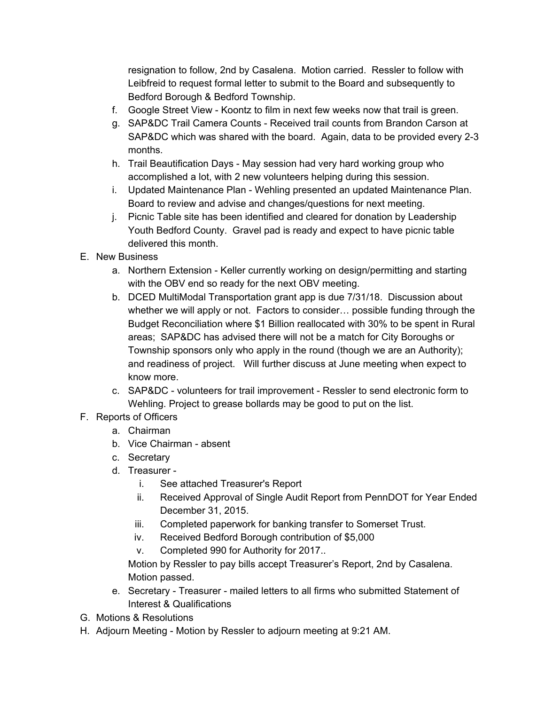resignation to follow, 2nd by Casalena. Motion carried. Ressler to follow with Leibfreid to request formal letter to submit to the Board and subsequently to Bedford Borough & Bedford Township.

- f. Google Street View Koontz to film in next few weeks now that trail is green.
- g. SAP&DC Trail Camera Counts Received trail counts from Brandon Carson at SAP&DC which was shared with the board. Again, data to be provided every 2-3 months.
- h. Trail Beautification Days May session had very hard working group who accomplished a lot, with 2 new volunteers helping during this session.
- i. Updated Maintenance Plan Wehling presented an updated Maintenance Plan. Board to review and advise and changes/questions for next meeting.
- j. Picnic Table site has been identified and cleared for donation by Leadership Youth Bedford County. Gravel pad is ready and expect to have picnic table delivered this month.
- E. New Business
	- a. Northern Extension Keller currently working on design/permitting and starting with the OBV end so ready for the next OBV meeting.
	- b. DCED MultiModal Transportation grant app is due 7/31/18. Discussion about whether we will apply or not. Factors to consider… possible funding through the Budget Reconciliation where \$1 Billion reallocated with 30% to be spent in Rural areas; SAP&DC has advised there will not be a match for City Boroughs or Township sponsors only who apply in the round (though we are an Authority); and readiness of project. Will further discuss at June meeting when expect to know more.
	- c. SAP&DC volunteers for trail improvement Ressler to send electronic form to Wehling. Project to grease bollards may be good to put on the list.
- F. Reports of Officers
	- a. Chairman
	- b. Vice Chairman absent
	- c. Secretary
	- d. Treasurer
		- i. See attached Treasurer's Report
		- ii. Received Approval of Single Audit Report from PennDOT for Year Ended December 31, 2015.
		- iii. Completed paperwork for banking transfer to Somerset Trust.
		- iv. Received Bedford Borough contribution of \$5,000
		- v. Completed 990 for Authority for 2017..

Motion by Ressler to pay bills accept Treasurer's Report, 2nd by Casalena. Motion passed.

- e. Secretary Treasurer mailed letters to all firms who submitted Statement of Interest & Qualifications
- G. Motions & Resolutions
- H. Adjourn Meeting Motion by Ressler to adjourn meeting at 9:21 AM.